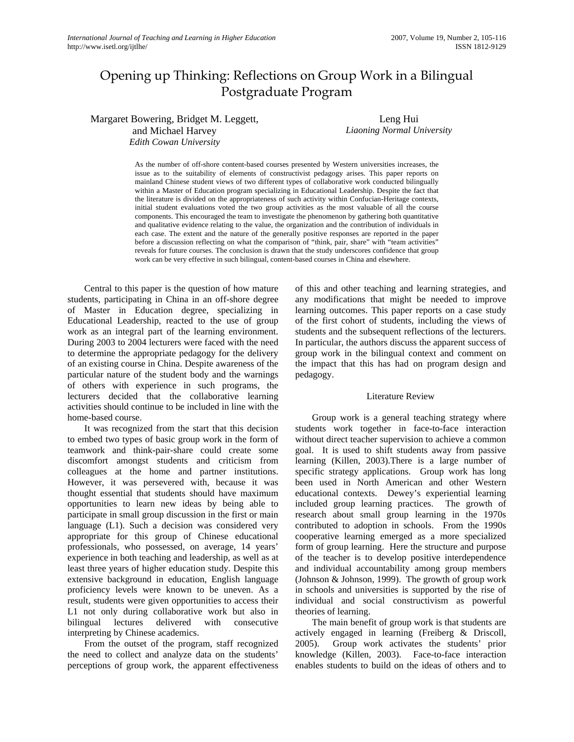# Opening up Thinking: Reflections on Group Work in a Bilingual Postgraduate Program

Margaret Bowering, Bridget M. Leggett, and Michael Harvey *Edith Cowan University* 

Leng Hui *Liaoning Normal University*

As the number of off-shore content-based courses presented by Western universities increases, the issue as to the suitability of elements of constructivist pedagogy arises. This paper reports on mainland Chinese student views of two different types of collaborative work conducted bilingually within a Master of Education program specializing in Educational Leadership. Despite the fact that the literature is divided on the appropriateness of such activity within Confucian-Heritage contexts, initial student evaluations voted the two group activities as the most valuable of all the course components. This encouraged the team to investigate the phenomenon by gathering both quantitative and qualitative evidence relating to the value, the organization and the contribution of individuals in each case. The extent and the nature of the generally positive responses are reported in the paper before a discussion reflecting on what the comparison of "think, pair, share" with "team activities" reveals for future courses. The conclusion is drawn that the study underscores confidence that group work can be very effective in such bilingual, content-based courses in China and elsewhere.

Central to this paper is the question of how mature students, participating in China in an off-shore degree of Master in Education degree, specializing in Educational Leadership, reacted to the use of group work as an integral part of the learning environment. During 2003 to 2004 lecturers were faced with the need to determine the appropriate pedagogy for the delivery of an existing course in China. Despite awareness of the particular nature of the student body and the warnings of others with experience in such programs, the lecturers decided that the collaborative learning activities should continue to be included in line with the home-based course.

It was recognized from the start that this decision to embed two types of basic group work in the form of teamwork and think-pair-share could create some discomfort amongst students and criticism from colleagues at the home and partner institutions. However, it was persevered with, because it was thought essential that students should have maximum opportunities to learn new ideas by being able to participate in small group discussion in the first or main language (L1). Such a decision was considered very appropriate for this group of Chinese educational professionals, who possessed, on average, 14 years' experience in both teaching and leadership, as well as at least three years of higher education study. Despite this extensive background in education, English language proficiency levels were known to be uneven. As a result, students were given opportunities to access their L1 not only during collaborative work but also in bilingual lectures delivered with consecutive interpreting by Chinese academics.

From the outset of the program, staff recognized the need to collect and analyze data on the students' perceptions of group work, the apparent effectiveness

of this and other teaching and learning strategies, and any modifications that might be needed to improve learning outcomes. This paper reports on a case study of the first cohort of students, including the views of students and the subsequent reflections of the lecturers. In particular, the authors discuss the apparent success of group work in the bilingual context and comment on the impact that this has had on program design and pedagogy.

### Literature Review

Group work is a general teaching strategy where students work together in face-to-face interaction without direct teacher supervision to achieve a common goal. It is used to shift students away from passive learning (Killen, 2003).There is a large number of specific strategy applications. Group work has long been used in North American and other Western educational contexts. Dewey's experiential learning included group learning practices. The growth of research about small group learning in the 1970s contributed to adoption in schools. From the 1990s cooperative learning emerged as a more specialized form of group learning. Here the structure and purpose of the teacher is to develop positive interdependence and individual accountability among group members (Johnson & Johnson, 1999). The growth of group work in schools and universities is supported by the rise of individual and social constructivism as powerful theories of learning.

The main benefit of group work is that students are actively engaged in learning (Freiberg & Driscoll, 2005). Group work activates the students' prior knowledge (Killen, 2003). Face-to-face interaction enables students to build on the ideas of others and to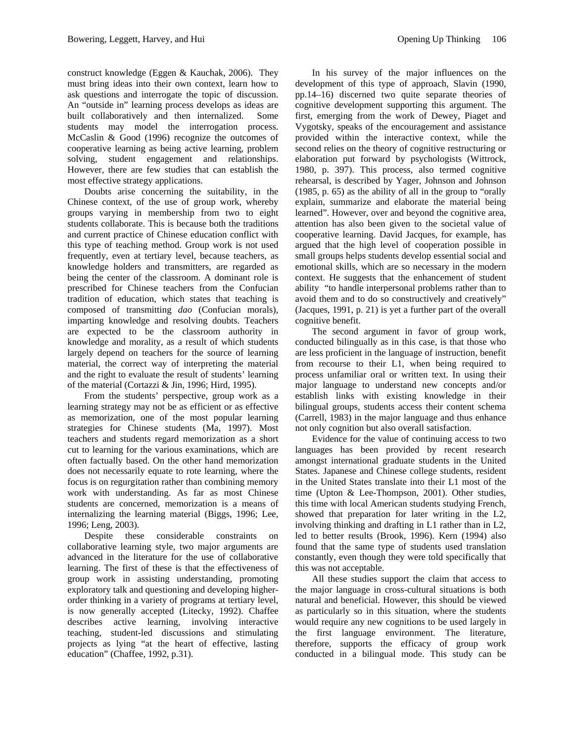construct knowledge (Eggen & Kauchak, 2006). They must bring ideas into their own context, learn how to ask questions and interrogate the topic of discussion. An "outside in" learning process develops as ideas are built collaboratively and then internalized. Some students may model the interrogation process. McCaslin & Good (1996) recognize the outcomes of cooperative learning as being active learning, problem solving, student engagement and relationships. However, there are few studies that can establish the most effective strategy applications.

Doubts arise concerning the suitability, in the Chinese context, of the use of group work, whereby groups varying in membership from two to eight students collaborate. This is because both the traditions and current practice of Chinese education conflict with this type of teaching method. Group work is not used frequently, even at tertiary level, because teachers, as knowledge holders and transmitters, are regarded as being the center of the classroom. A dominant role is prescribed for Chinese teachers from the Confucian tradition of education, which states that teaching is composed of transmitting *dao* (Confucian morals), imparting knowledge and resolving doubts. Teachers are expected to be the classroom authority in knowledge and morality, as a result of which students largely depend on teachers for the source of learning material, the correct way of interpreting the material and the right to evaluate the result of students' learning of the material (Cortazzi & Jin, 1996; Hird, 1995).

From the students' perspective, group work as a learning strategy may not be as efficient or as effective as memorization, one of the most popular learning strategies for Chinese students (Ma, 1997). Most teachers and students regard memorization as a short cut to learning for the various examinations, which are often factually based. On the other hand memorization does not necessarily equate to rote learning, where the focus is on regurgitation rather than combining memory work with understanding. As far as most Chinese students are concerned, memorization is a means of internalizing the learning material (Biggs, 1996; Lee, 1996; Leng, 2003).

Despite these considerable constraints on collaborative learning style, two major arguments are advanced in the literature for the use of collaborative learning. The first of these is that the effectiveness of group work in assisting understanding, promoting exploratory talk and questioning and developing higherorder thinking in a variety of programs at tertiary level, is now generally accepted (Litecky, 1992). Chaffee describes active learning, involving interactive teaching, student-led discussions and stimulating projects as lying "at the heart of effective, lasting education" (Chaffee, 1992, p.31).

In his survey of the major influences on the development of this type of approach, Slavin (1990, pp.14–16) discerned two quite separate theories of cognitive development supporting this argument. The first, emerging from the work of Dewey, Piaget and Vygotsky, speaks of the encouragement and assistance provided within the interactive context, while the second relies on the theory of cognitive restructuring or elaboration put forward by psychologists (Wittrock, 1980, p. 397). This process, also termed cognitive rehearsal, is described by Yager, Johnson and Johnson (1985, p. 65) as the ability of all in the group to "orally explain, summarize and elaborate the material being learned". However, over and beyond the cognitive area, attention has also been given to the societal value of cooperative learning. David Jacques, for example, has argued that the high level of cooperation possible in small groups helps students develop essential social and emotional skills, which are so necessary in the modern context. He suggests that the enhancement of student ability "to handle interpersonal problems rather than to avoid them and to do so constructively and creatively" (Jacques, 1991, p. 21) is yet a further part of the overall cognitive benefit.

The second argument in favor of group work, conducted bilingually as in this case, is that those who are less proficient in the language of instruction, benefit from recourse to their L1, when being required to process unfamiliar oral or written text. In using their major language to understand new concepts and/or establish links with existing knowledge in their bilingual groups, students access their content schema (Carrell, 1983) in the major language and thus enhance not only cognition but also overall satisfaction.

Evidence for the value of continuing access to two languages has been provided by recent research amongst international graduate students in the United States. Japanese and Chinese college students, resident in the United States translate into their L1 most of the time (Upton & Lee-Thompson, 2001). Other studies, this time with local American students studying French, showed that preparation for later writing in the L2, involving thinking and drafting in L1 rather than in L2, led to better results (Brook, 1996). Kern (1994) also found that the same type of students used translation constantly, even though they were told specifically that this was not acceptable.

All these studies support the claim that access to the major language in cross-cultural situations is both natural and beneficial. However, this should be viewed as particularly so in this situation, where the students would require any new cognitions to be used largely in the first language environment. The literature, therefore, supports the efficacy of group work conducted in a bilingual mode. This study can be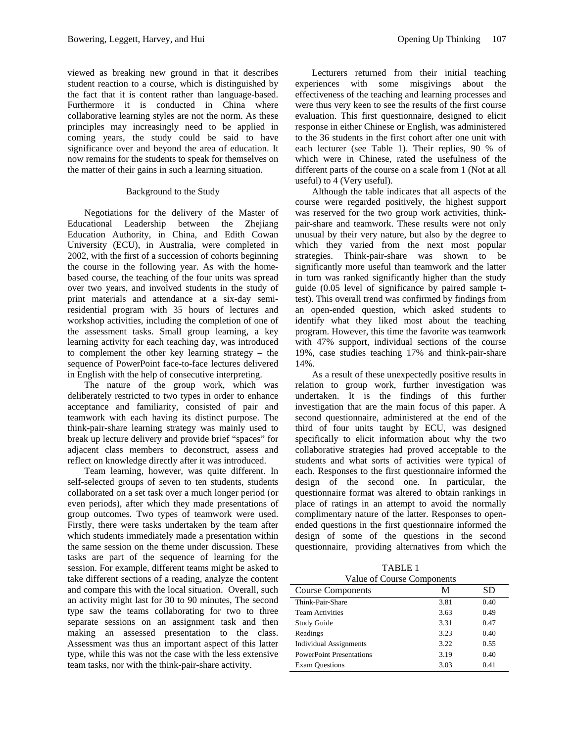viewed as breaking new ground in that it describes student reaction to a course, which is distinguished by the fact that it is content rather than language-based. Furthermore it is conducted in China where collaborative learning styles are not the norm. As these principles may increasingly need to be applied in coming years, the study could be said to have significance over and beyond the area of education. It now remains for the students to speak for themselves on the matter of their gains in such a learning situation.

### Background to the Study

Negotiations for the delivery of the Master of Educational Leadership between the Zhejiang Education Authority, in China, and Edith Cowan University (ECU), in Australia, were completed in 2002, with the first of a succession of cohorts beginning the course in the following year. As with the homebased course, the teaching of the four units was spread over two years, and involved students in the study of print materials and attendance at a six-day semiresidential program with 35 hours of lectures and workshop activities, including the completion of one of the assessment tasks. Small group learning, a key learning activity for each teaching day, was introduced to complement the other key learning strategy – the sequence of PowerPoint face-to-face lectures delivered in English with the help of consecutive interpreting.

The nature of the group work, which was deliberately restricted to two types in order to enhance acceptance and familiarity, consisted of pair and teamwork with each having its distinct purpose. The think-pair-share learning strategy was mainly used to break up lecture delivery and provide brief "spaces" for adjacent class members to deconstruct, assess and reflect on knowledge directly after it was introduced.

Team learning, however, was quite different. In self-selected groups of seven to ten students, students collaborated on a set task over a much longer period (or even periods), after which they made presentations of group outcomes. Two types of teamwork were used. Firstly, there were tasks undertaken by the team after which students immediately made a presentation within the same session on the theme under discussion. These tasks are part of the sequence of learning for the session. For example, different teams might be asked to take different sections of a reading, analyze the content and compare this with the local situation. Overall, such an activity might last for 30 to 90 minutes, The second type saw the teams collaborating for two to three separate sessions on an assignment task and then making an assessed presentation to the class. Assessment was thus an important aspect of this latter type, while this was not the case with the less extensive team tasks, nor with the think-pair-share activity.

Lecturers returned from their initial teaching experiences with some misgivings about the effectiveness of the teaching and learning processes and were thus very keen to see the results of the first course evaluation. This first questionnaire, designed to elicit response in either Chinese or English, was administered to the 36 students in the first cohort after one unit with each lecturer (see Table 1). Their replies, 90 % of which were in Chinese, rated the usefulness of the different parts of the course on a scale from 1 (Not at all useful) to 4 (Very useful).

Although the table indicates that all aspects of the course were regarded positively, the highest support was reserved for the two group work activities, thinkpair-share and teamwork. These results were not only unusual by their very nature, but also by the degree to which they varied from the next most popular strategies. Think-pair-share was shown to be significantly more useful than teamwork and the latter in turn was ranked significantly higher than the study guide (0.05 level of significance by paired sample ttest). This overall trend was confirmed by findings from an open-ended question, which asked students to identify what they liked most about the teaching program. However, this time the favorite was teamwork with 47% support, individual sections of the course 19%, case studies teaching 17% and think-pair-share 14%.

As a result of these unexpectedly positive results in relation to group work, further investigation was undertaken. It is the findings of this further investigation that are the main focus of this paper. A second questionnaire, administered at the end of the third of four units taught by ECU, was designed specifically to elicit information about why the two collaborative strategies had proved acceptable to the students and what sorts of activities were typical of each. Responses to the first questionnaire informed the design of the second one. In particular, the questionnaire format was altered to obtain rankings in place of ratings in an attempt to avoid the normally complimentary nature of the latter. Responses to openended questions in the first questionnaire informed the design of some of the questions in the second questionnaire, providing alternatives from which the

TABLE 1 Value of Course Components

| value of Course Components      |      |      |  |  |  |
|---------------------------------|------|------|--|--|--|
| <b>Course Components</b>        | М    | SD   |  |  |  |
| Think-Pair-Share                | 3.81 | 0.40 |  |  |  |
| <b>Team Activities</b>          | 3.63 | 0.49 |  |  |  |
| <b>Study Guide</b>              | 3.31 | 0.47 |  |  |  |
| Readings                        | 3.23 | 0.40 |  |  |  |
| <b>Individual Assignments</b>   | 3.22 | 0.55 |  |  |  |
| <b>PowerPoint Presentations</b> | 3.19 | 0.40 |  |  |  |
| <b>Exam Questions</b>           | 3.03 | 0.41 |  |  |  |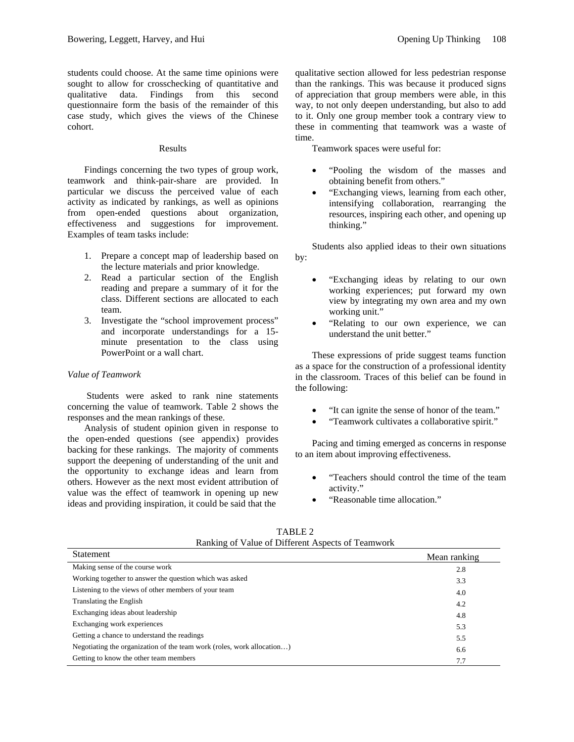students could choose. At the same time opinions were sought to allow for crosschecking of quantitative and qualitative data. Findings from this second questionnaire form the basis of the remainder of this case study, which gives the views of the Chinese cohort.

#### Results

Findings concerning the two types of group work, teamwork and think-pair-share are provided. In particular we discuss the perceived value of each activity as indicated by rankings, as well as opinions from open-ended questions about organization, effectiveness and suggestions for improvement. Examples of team tasks include:

- 1. Prepare a concept map of leadership based on the lecture materials and prior knowledge.
- 2. Read a particular section of the English reading and prepare a summary of it for the class. Different sections are allocated to each team.
- 3. Investigate the "school improvement process" and incorporate understandings for a 15 minute presentation to the class using PowerPoint or a wall chart.

#### *Value of Teamwork*

 Students were asked to rank nine statements concerning the value of teamwork. Table 2 shows the responses and the mean rankings of these.

Analysis of student opinion given in response to the open-ended questions (see appendix) provides backing for these rankings. The majority of comments support the deepening of understanding of the unit and the opportunity to exchange ideas and learn from others. However as the next most evident attribution of value was the effect of teamwork in opening up new ideas and providing inspiration, it could be said that the

than the rankings. This was because it produced signs of appreciation that group members were able, in this way, to not only deepen understanding, but also to add to it. Only one group member took a contrary view to these in commenting that teamwork was a waste of time.

Teamwork spaces were useful for:

- "Pooling the wisdom of the masses and obtaining benefit from others."
- "Exchanging views, learning from each other, intensifying collaboration, rearranging the resources, inspiring each other, and opening up thinking."

Students also applied ideas to their own situations by:

- "Exchanging ideas by relating to our own working experiences; put forward my own view by integrating my own area and my own working unit."
- "Relating to our own experience, we can understand the unit better."

These expressions of pride suggest teams function as a space for the construction of a professional identity in the classroom. Traces of this belief can be found in the following:

- "It can ignite the sense of honor of the team."
- "Teamwork cultivates a collaborative spirit."

Pacing and timing emerged as concerns in response to an item about improving effectiveness.

- "Teachers should control the time of the team activity."
- "Reasonable time allocation."

| Statement                                                              | Mean ranking |
|------------------------------------------------------------------------|--------------|
| Making sense of the course work                                        | 2.8          |
| Working together to answer the question which was asked                | 3.3          |
| Listening to the views of other members of your team                   | 4.0          |
| Translating the English                                                | 4.2          |
| Exchanging ideas about leadership                                      | 4.8          |
| Exchanging work experiences                                            | 5.3          |
| Getting a chance to understand the readings                            | 5.5          |
| Negotiating the organization of the team work (roles, work allocation) | 6.6          |
| Getting to know the other team members                                 | 7.7          |

TABLE 2 Ranking of Value of Different Aspects of Teamwork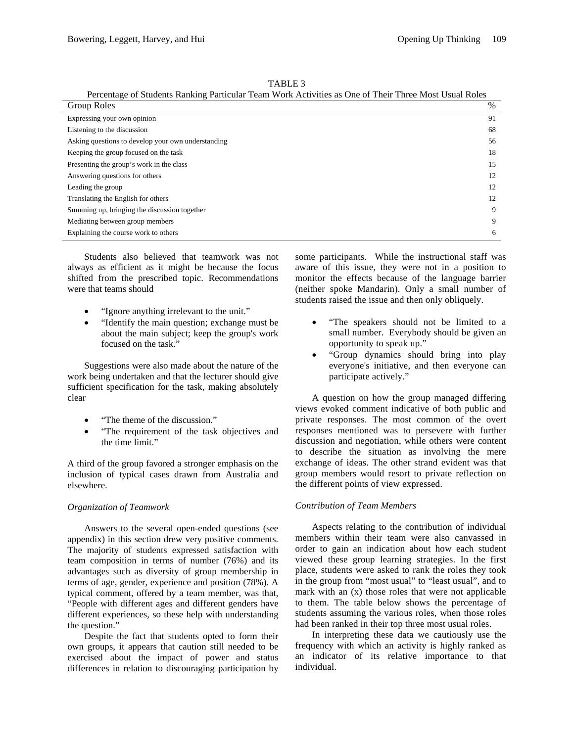TABLE 3

| I CICCINAZE OI BUQUINS KANKING I ANICUM TUANI WOLK ACHVINGS AS ONE OI TIICH TINCE MOST OSUAI KOICS |    |  |
|----------------------------------------------------------------------------------------------------|----|--|
| Group Roles                                                                                        | %  |  |
| Expressing your own opinion                                                                        | 91 |  |
| Listening to the discussion                                                                        | 68 |  |
| Asking questions to develop your own understanding                                                 | 56 |  |
| Keeping the group focused on the task                                                              | 18 |  |
| Presenting the group's work in the class                                                           | 15 |  |
| Answering questions for others                                                                     | 12 |  |
| Leading the group                                                                                  | 12 |  |
| Translating the English for others                                                                 | 12 |  |
| Summing up, bringing the discussion together                                                       | 9  |  |
| Mediating between group members                                                                    | 9  |  |
| Explaining the course work to others                                                               | 6  |  |

Percentage of Students Ranking Particular Team Work Activities as One of Their Three Most Usual Roles

Students also believed that teamwork was not always as efficient as it might be because the focus shifted from the prescribed topic. Recommendations were that teams should

- "Ignore anything irrelevant to the unit."
- "Identify the main question; exchange must be about the main subject; keep the group's work focused on the task."

Suggestions were also made about the nature of the work being undertaken and that the lecturer should give sufficient specification for the task, making absolutely clear

- "The theme of the discussion."
- "The requirement of the task objectives and the time limit."

A third of the group favored a stronger emphasis on the inclusion of typical cases drawn from Australia and elsewhere.

### *Organization of Teamwork*

Answers to the several open-ended questions (see appendix) in this section drew very positive comments. The majority of students expressed satisfaction with team composition in terms of number (76%) and its advantages such as diversity of group membership in terms of age, gender, experience and position (78%). A typical comment, offered by a team member, was that, "People with different ages and different genders have different experiences, so these help with understanding the question."

Despite the fact that students opted to form their own groups, it appears that caution still needed to be exercised about the impact of power and status differences in relation to discouraging participation by

some participants. While the instructional staff was aware of this issue, they were not in a position to monitor the effects because of the language barrier (neither spoke Mandarin). Only a small number of students raised the issue and then only obliquely.

- "The speakers should not be limited to a small number. Everybody should be given an opportunity to speak up."
- "Group dynamics should bring into play everyone's initiative, and then everyone can participate actively."

A question on how the group managed differing views evoked comment indicative of both public and private responses. The most common of the overt responses mentioned was to persevere with further discussion and negotiation, while others were content to describe the situation as involving the mere exchange of ideas. The other strand evident was that group members would resort to private reflection on the different points of view expressed.

### *Contribution of Team Members*

Aspects relating to the contribution of individual members within their team were also canvassed in order to gain an indication about how each student viewed these group learning strategies. In the first place, students were asked to rank the roles they took in the group from "most usual" to "least usual", and to mark with an (x) those roles that were not applicable to them. The table below shows the percentage of students assuming the various roles, when those roles had been ranked in their top three most usual roles.

 In interpreting these data we cautiously use the frequency with which an activity is highly ranked as an indicator of its relative importance to that individual.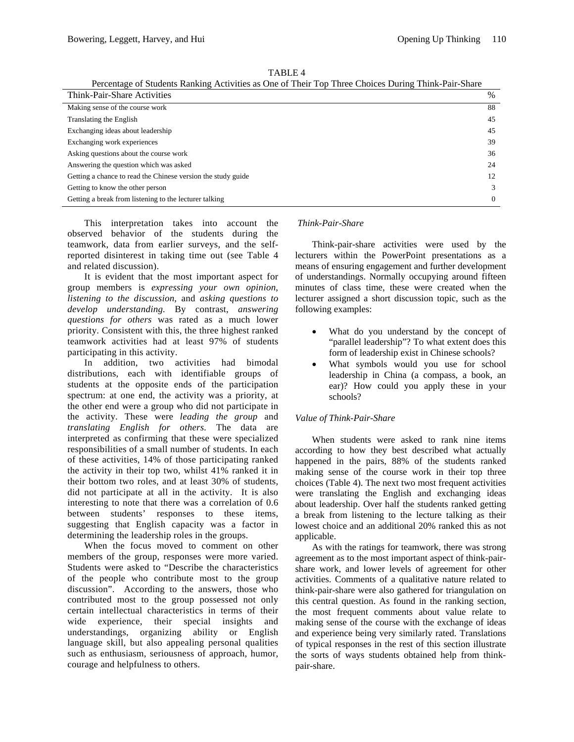|--|

Percentage of Students Ranking Activities as One of Their Top Three Choices During Think-Pair-Share

| Think-Pair-Share Activities                                  | %        |
|--------------------------------------------------------------|----------|
| Making sense of the course work                              | 88       |
| Translating the English                                      | 45       |
| Exchanging ideas about leadership                            | 45       |
| Exchanging work experiences                                  | 39       |
| Asking questions about the course work                       | 36       |
| Answering the question which was asked                       | 24       |
| Getting a chance to read the Chinese version the study guide | 12       |
| Getting to know the other person                             | 3        |
| Getting a break from listening to the lecturer talking       | $\Omega$ |

This interpretation takes into account the observed behavior of the students during the teamwork, data from earlier surveys, and the selfreported disinterest in taking time out (see Table 4 and related discussion).

It is evident that the most important aspect for group members is *expressing your own opinion*, *listening to the discussion*, and *asking questions to develop understanding.* By contrast, *answering questions for others* was rated as a much lower priority. Consistent with this, the three highest ranked teamwork activities had at least 97% of students participating in this activity.

In addition, two activities had bimodal distributions, each with identifiable groups of students at the opposite ends of the participation spectrum: at one end, the activity was a priority, at the other end were a group who did not participate in the activity. These were *leading the group* and *translating English for others.* The data are interpreted as confirming that these were specialized responsibilities of a small number of students. In each of these activities, 14% of those participating ranked the activity in their top two, whilst 41% ranked it in their bottom two roles, and at least 30% of students, did not participate at all in the activity. It is also interesting to note that there was a correlation of 0.6 between students' responses to these items, suggesting that English capacity was a factor in determining the leadership roles in the groups.

When the focus moved to comment on other members of the group, responses were more varied. Students were asked to "Describe the characteristics of the people who contribute most to the group discussion". According to the answers, those who contributed most to the group possessed not only certain intellectual characteristics in terms of their wide experience, their special insights and understandings, organizing ability or English language skill, but also appealing personal qualities such as enthusiasm, seriousness of approach, humor, courage and helpfulness to others.

## *Think-Pair-Share*

Think-pair-share activities were used by the lecturers within the PowerPoint presentations as a means of ensuring engagement and further development of understandings. Normally occupying around fifteen minutes of class time, these were created when the lecturer assigned a short discussion topic, such as the following examples:

- What do you understand by the concept of "parallel leadership"? To what extent does this form of leadership exist in Chinese schools?
- What symbols would you use for school leadership in China (a compass, a book, an ear)? How could you apply these in your schools?

### *Value of Think-Pair-Share*

When students were asked to rank nine items according to how they best described what actually happened in the pairs, 88% of the students ranked making sense of the course work in their top three choices (Table 4). The next two most frequent activities were translating the English and exchanging ideas about leadership. Over half the students ranked getting a break from listening to the lecture talking as their lowest choice and an additional 20% ranked this as not applicable.

As with the ratings for teamwork, there was strong agreement as to the most important aspect of think-pairshare work, and lower levels of agreement for other activities. Comments of a qualitative nature related to think-pair-share were also gathered for triangulation on this central question. As found in the ranking section, the most frequent comments about value relate to making sense of the course with the exchange of ideas and experience being very similarly rated. Translations of typical responses in the rest of this section illustrate the sorts of ways students obtained help from thinkpair-share.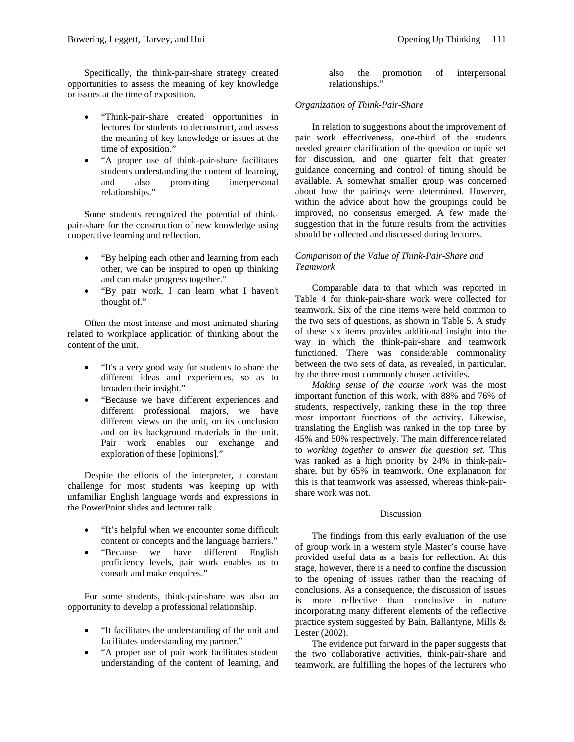Specifically, the think-pair-share strategy created opportunities to assess the meaning of key knowledge or issues at the time of exposition.

- "Think-pair-share created opportunities in lectures for students to deconstruct, and assess the meaning of key knowledge or issues at the time of exposition."
- "A proper use of think-pair-share facilitates students understanding the content of learning, and also promoting interpersonal relationships."

Some students recognized the potential of thinkpair-share for the construction of new knowledge using cooperative learning and reflection.

- "By helping each other and learning from each other, we can be inspired to open up thinking and can make progress together."
- "By pair work, I can learn what I haven't thought of."

Often the most intense and most animated sharing related to workplace application of thinking about the content of the unit.

- "It's a very good way for students to share the different ideas and experiences, so as to broaden their insight."
- "Because we have different experiences and different professional majors, we have different views on the unit, on its conclusion and on its background materials in the unit. Pair work enables our exchange and exploration of these [opinions]."

Despite the efforts of the interpreter, a constant challenge for most students was keeping up with unfamiliar English language words and expressions in the PowerPoint slides and lecturer talk.

- "It's helpful when we encounter some difficult content or concepts and the language barriers."
- "Because we have different English proficiency levels, pair work enables us to consult and make enquires."

For some students, think-pair-share was also an opportunity to develop a professional relationship.

- "It facilitates the understanding of the unit and facilitates understanding my partner."
- "A proper use of pair work facilitates student understanding of the content of learning, and

also the promotion of interpersonal relationships."

## *Organization of Think-Pair-Share*

In relation to suggestions about the improvement of pair work effectiveness, one-third of the students needed greater clarification of the question or topic set for discussion, and one quarter felt that greater guidance concerning and control of timing should be available. A somewhat smaller group was concerned about how the pairings were determined. However, within the advice about how the groupings could be improved, no consensus emerged. A few made the suggestion that in the future results from the activities should be collected and discussed during lectures.

## *Comparison of the Value of Think-Pair-Share and Teamwork*

Comparable data to that which was reported in Table 4 for think-pair-share work were collected for teamwork. Six of the nine items were held common to the two sets of questions, as shown in Table 5. A study of these six items provides additional insight into the way in which the think-pair-share and teamwork functioned. There was considerable commonality between the two sets of data, as revealed, in particular, by the three most commonly chosen activities.

*Making sense of the course work* was the most important function of this work, with 88% and 76% of students, respectively, ranking these in the top three most important functions of the activity. Likewise, translating the English was ranked in the top three by 45% and 50% respectively. The main difference related to *working together to answer the question set.* This was ranked as a high priority by 24% in think-pairshare, but by 65% in teamwork. One explanation for this is that teamwork was assessed, whereas think-pairshare work was not.

### Discussion

The findings from this early evaluation of the use of group work in a western style Master's course have provided useful data as a basis for reflection. At this stage, however, there is a need to confine the discussion to the opening of issues rather than the reaching of conclusions. As a consequence, the discussion of issues is more reflective than conclusive in nature incorporating many different elements of the reflective practice system suggested by Bain, Ballantyne, Mills & Lester (2002).

The evidence put forward in the paper suggests that the two collaborative activities, think-pair-share and teamwork, are fulfilling the hopes of the lecturers who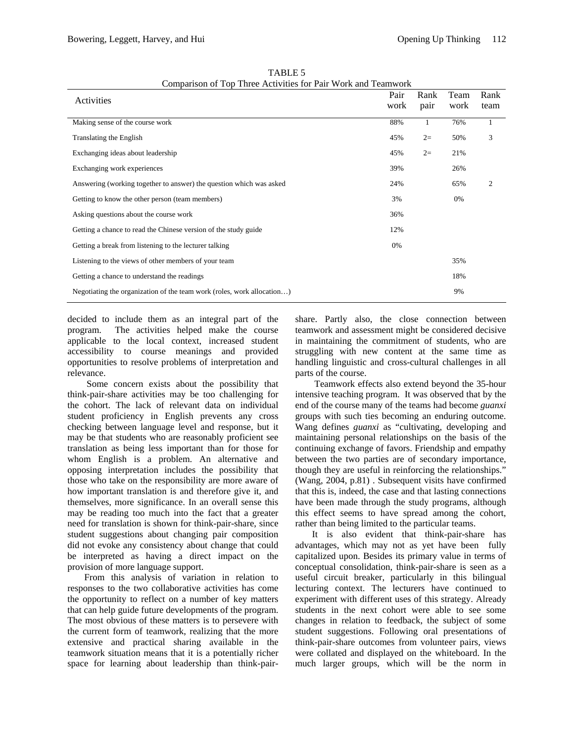| Activities                                                             | Pair<br>work | Rank<br>pair | Team<br>work | Rank<br>team |
|------------------------------------------------------------------------|--------------|--------------|--------------|--------------|
| Making sense of the course work                                        | 88%          | 1            | 76%          |              |
| Translating the English                                                | 45%          | $2=$         | 50%          | 3            |
| Exchanging ideas about leadership                                      | 45%          | $2=$         | 21%          |              |
| Exchanging work experiences                                            | 39%          |              | 26%          |              |
| Answering (working together to answer) the question which was asked    | 24%          |              | 65%          | 2            |
| Getting to know the other person (team members)                        | 3%           |              | 0%           |              |
| Asking questions about the course work                                 | 36%          |              |              |              |
| Getting a chance to read the Chinese version of the study guide        | 12%          |              |              |              |
| Getting a break from listening to the lecturer talking                 | 0%           |              |              |              |
| Listening to the views of other members of your team                   |              |              | 35%          |              |
| Getting a chance to understand the readings                            |              |              | 18%          |              |
| Negotiating the organization of the team work (roles, work allocation) |              |              | 9%           |              |

TABLE 5 Comparison of Top Three Activities for Pair Work and Teamwork

decided to include them as an integral part of the program. The activities helped make the course applicable to the local context, increased student accessibility to course meanings and provided opportunities to resolve problems of interpretation and relevance.

 Some concern exists about the possibility that think-pair-share activities may be too challenging for the cohort. The lack of relevant data on individual student proficiency in English prevents any cross checking between language level and response, but it may be that students who are reasonably proficient see translation as being less important than for those for whom English is a problem. An alternative and opposing interpretation includes the possibility that those who take on the responsibility are more aware of how important translation is and therefore give it, and themselves, more significance. In an overall sense this may be reading too much into the fact that a greater need for translation is shown for think-pair-share, since student suggestions about changing pair composition did not evoke any consistency about change that could be interpreted as having a direct impact on the provision of more language support.

From this analysis of variation in relation to responses to the two collaborative activities has come the opportunity to reflect on a number of key matters that can help guide future developments of the program. The most obvious of these matters is to persevere with the current form of teamwork, realizing that the more extensive and practical sharing available in the teamwork situation means that it is a potentially richer space for learning about leadership than think-pairshare. Partly also, the close connection between teamwork and assessment might be considered decisive in maintaining the commitment of students, who are struggling with new content at the same time as handling linguistic and cross-cultural challenges in all parts of the course.

Teamwork effects also extend beyond the 35-hour intensive teaching program. It was observed that by the end of the course many of the teams had become *guanxi* groups with such ties becoming an enduring outcome. Wang defines *guanxi* as "cultivating, developing and maintaining personal relationships on the basis of the continuing exchange of favors. Friendship and empathy between the two parties are of secondary importance, though they are useful in reinforcing the relationships." (Wang, 2004, p.81) . Subsequent visits have confirmed that this is, indeed, the case and that lasting connections have been made through the study programs, although this effect seems to have spread among the cohort, rather than being limited to the particular teams.

It is also evident that think-pair-share has advantages, which may not as yet have been fully capitalized upon. Besides its primary value in terms of conceptual consolidation, think-pair-share is seen as a useful circuit breaker, particularly in this bilingual lecturing context. The lecturers have continued to experiment with different uses of this strategy. Already students in the next cohort were able to see some changes in relation to feedback, the subject of some student suggestions. Following oral presentations of think-pair-share outcomes from volunteer pairs, views were collated and displayed on the whiteboard. In the much larger groups, which will be the norm in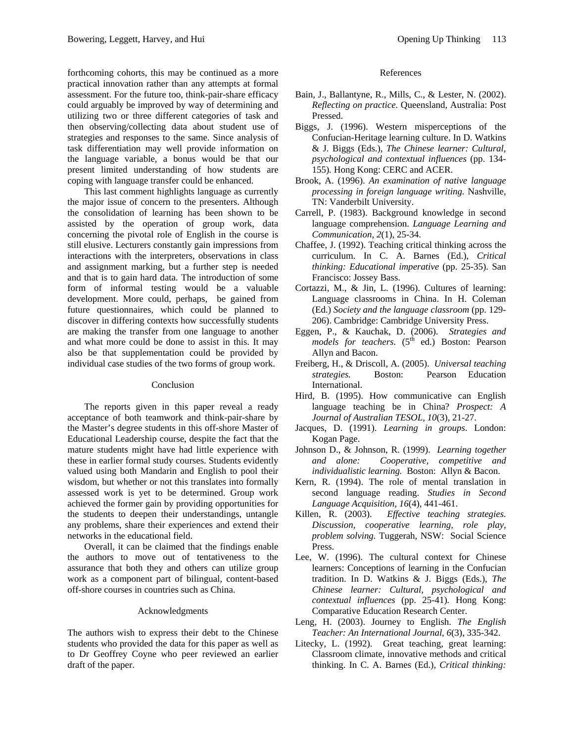forthcoming cohorts, this may be continued as a more practical innovation rather than any attempts at formal assessment. For the future too, think-pair-share efficacy could arguably be improved by way of determining and utilizing two or three different categories of task and then observing/collecting data about student use of strategies and responses to the same. Since analysis of task differentiation may well provide information on the language variable, a bonus would be that our present limited understanding of how students are coping with language transfer could be enhanced.

This last comment highlights language as currently the major issue of concern to the presenters. Although the consolidation of learning has been shown to be assisted by the operation of group work, data concerning the pivotal role of English in the course is still elusive. Lecturers constantly gain impressions from interactions with the interpreters, observations in class and assignment marking, but a further step is needed and that is to gain hard data. The introduction of some form of informal testing would be a valuable development. More could, perhaps, be gained from future questionnaires, which could be planned to discover in differing contexts how successfully students are making the transfer from one language to another and what more could be done to assist in this. It may also be that supplementation could be provided by individual case studies of the two forms of group work.

#### Conclusion

The reports given in this paper reveal a ready acceptance of both teamwork and think-pair-share by the Master's degree students in this off-shore Master of Educational Leadership course, despite the fact that the mature students might have had little experience with these in earlier formal study courses. Students evidently valued using both Mandarin and English to pool their wisdom, but whether or not this translates into formally assessed work is yet to be determined. Group work achieved the former gain by providing opportunities for the students to deepen their understandings, untangle any problems, share their experiences and extend their networks in the educational field.

Overall, it can be claimed that the findings enable the authors to move out of tentativeness to the assurance that both they and others can utilize group work as a component part of bilingual, content-based off-shore courses in countries such as China.

### Acknowledgments

The authors wish to express their debt to the Chinese students who provided the data for this paper as well as to Dr Geoffrey Coyne who peer reviewed an earlier draft of the paper.

#### References

- Bain, J., Ballantyne, R., Mills, C., & Lester, N. (2002). *Reflecting on practice.* Queensland, Australia: Post Pressed.
- Biggs, J. (1996). Western misperceptions of the Confucian-Heritage learning culture. In D. Watkins & J. Biggs (Eds.), *The Chinese learner: Cultural, psychological and contextual influences* (pp. 134- 155)*.* Hong Kong: CERC and ACER.
- Brook, A. (1996). *An examination of native language processing in foreign language writing.* Nashville, TN: Vanderbilt University.
- Carrell, P. (1983). Background knowledge in second language comprehension. *Language Learning and Communication, 2*(1), 25-34.
- Chaffee, J. (1992). Teaching critical thinking across the curriculum. In C. A. Barnes (Ed.), *Critical thinking: Educational imperative* (pp. 25-35). San Francisco: Jossey Bass.
- Cortazzi, M., & Jin, L. (1996). Cultures of learning: Language classrooms in China. In H. Coleman (Ed.) *Society and the language classroom* (pp. 129- 206). Cambridge: Cambridge University Press.
- Eggen, P., & Kauchak, D. (2006). *Strategies and models for teachers.* (5<sup>th</sup> ed.) Boston: Pearson Allyn and Bacon.
- Freiberg, H., & Driscoll, A. (2005). *Universal teaching strategies.* Boston: Pearson Education International.
- Hird, B. (1995). How communicative can English language teaching be in China? *Prospect: A Journal of Australian TESOL, 10*(3), 21-27.
- Jacques, D. (1991). *Learning in groups*. London: Kogan Page.
- Johnson D., & Johnson, R. (1999). *Learning together and alone: Cooperative, competitive and individualistic learning.* Boston: Allyn & Bacon.
- Kern, R. (1994). The role of mental translation in second language reading. *Studies in Second Language Acquisition, 16*(4), 441-461.
- Killen, R. (2003). *Effective teaching strategies. Discussion, cooperative learning, role play, problem solving.* Tuggerah, NSW: Social Science Press.
- Lee, W. (1996). The cultural context for Chinese learners: Conceptions of learning in the Confucian tradition. In D. Watkins & J. Biggs (Eds.), *The Chinese learner: Cultural, psychological and contextual influences* (pp. 25-41)*.* Hong Kong: Comparative Education Research Center.
- Leng, H. (2003). Journey to English. *The English Teacher: An International Journal, 6*(3), 335-342.
- Litecky, L. (1992). Great teaching, great learning: Classroom climate, innovative methods and critical thinking. In C. A. Barnes (Ed.), *Critical thinking:*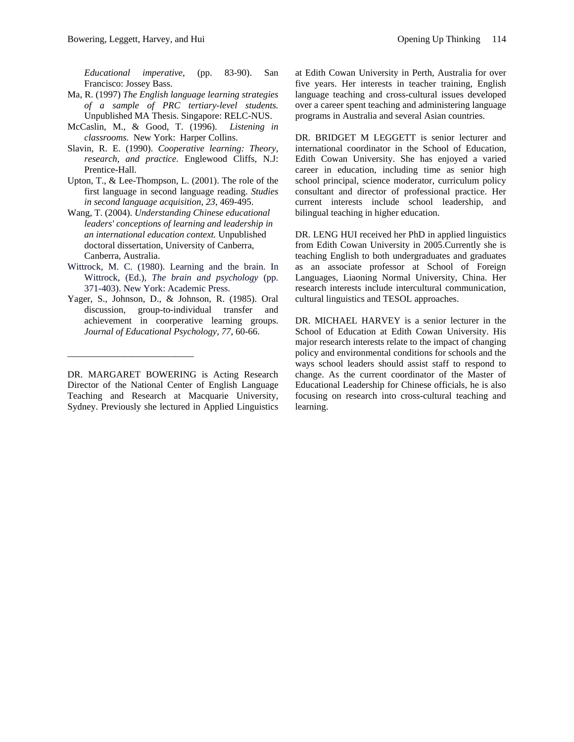*Educational imperative,* (pp. 83-90). San Francisco: Jossey Bass.

- Ma, R. (1997) *The English language learning strategies of a sample of PRC tertiary-level students.*  Unpublished MA Thesis. Singapore: RELC-NUS.
- McCaslin, M., & Good, T. (1996). *Listening in classrooms.* New York: Harper Collins.
- Slavin, R. E. (1990). *Cooperative learning: Theory, research, and practice*. Englewood Cliffs, N.J: Prentice-Hall.
- Upton, T., & Lee-Thompson, L. (2001). The role of the first language in second language reading. *Studies in second language acquisition, 23*, 469-495.
- Wang, T. (2004). *Understanding Chinese educational leaders' conceptions of learning and leadership in an international education context.* Unpublished doctoral dissertation, University of Canberra, Canberra, Australia.
- Wittrock, M. C. (1980). Learning and the brain. In Wittrock, (Ed.), *The brain and psychology* (pp. 371-403). New York: Academic Press.
- Yager, S., Johnson, D., & Johnson, R. (1985). Oral discussion, group-to-individual transfer and achievement in coorperative learning groups. *Journal of Educational Psychology, 77*, 60-66.

\_\_\_\_\_\_\_\_\_\_\_\_\_\_\_\_\_\_\_\_\_\_\_\_\_\_\_

DR. MARGARET BOWERING is Acting Research Director of the National Center of English Language Teaching and Research at Macquarie University, Sydney. Previously she lectured in Applied Linguistics

at Edith Cowan University in Perth, Australia for over five years. Her interests in teacher training, English language teaching and cross-cultural issues developed over a career spent teaching and administering language programs in Australia and several Asian countries.

DR. BRIDGET M LEGGETT is senior lecturer and international coordinator in the School of Education, Edith Cowan University. She has enjoyed a varied career in education, including time as senior high school principal, science moderator, curriculum policy consultant and director of professional practice. Her current interests include school leadership, and bilingual teaching in higher education.

DR. LENG HUI received her PhD in applied linguistics from Edith Cowan University in 2005.Currently she is teaching English to both undergraduates and graduates as an associate professor at School of Foreign Languages, Liaoning Normal University, China. Her research interests include intercultural communication, cultural linguistics and TESOL approaches.

DR. MICHAEL HARVEY is a senior lecturer in the School of Education at Edith Cowan University. His major research interests relate to the impact of changing policy and environmental conditions for schools and the ways school leaders should assist staff to respond to change. As the current coordinator of the Master of Educational Leadership for Chinese officials, he is also focusing on research into cross-cultural teaching and learning.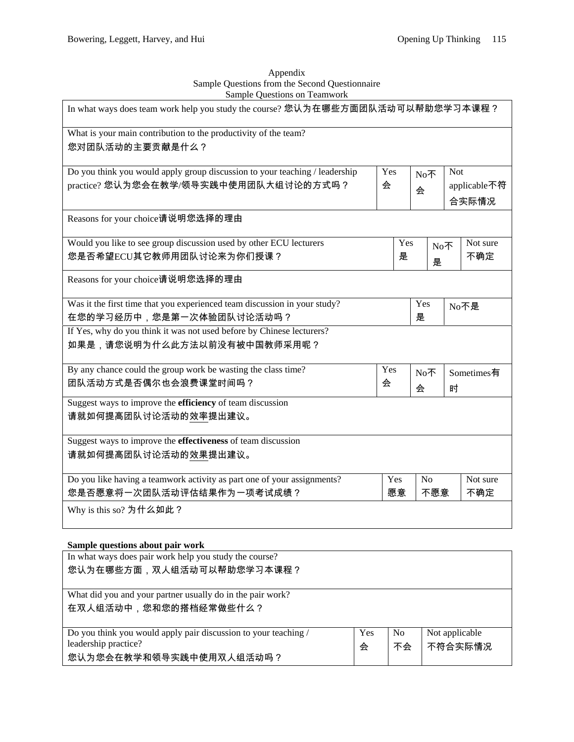| Appendix                                       |
|------------------------------------------------|
| Sample Questions from the Second Questionnaire |
| Sample Ouestions on Teamwork                   |

| In what ways does team work help you study the course? 您认为在哪些方面团队活动可以帮助您学习本课程? |     |     |                |            |            |  |  |  |              |
|--------------------------------------------------------------------------------|-----|-----|----------------|------------|------------|--|--|--|--------------|
| What is your main contribution to the productivity of the team?                |     |     |                |            |            |  |  |  |              |
| 您对团队活动的主要贡献是什么?                                                                |     |     |                |            |            |  |  |  |              |
| Do you think you would apply group discussion to your teaching / leadership    | Yes |     | No不            | <b>Not</b> |            |  |  |  |              |
| practice? 您认为您会在教学/领导实践中使用团队大组讨论的方式吗?                                          | 会   |     |                |            |            |  |  |  | applicable不符 |
|                                                                                |     |     | 会              |            | 合实际情况      |  |  |  |              |
| Reasons for your choice请说明您选择的理由                                               |     |     |                |            |            |  |  |  |              |
| Would you like to see group discussion used by other ECU lecturers             |     | Yes |                | No不        | Not sure   |  |  |  |              |
| 您是否希望ECU其它教师用团队讨论来为你们授课?                                                       |     | 是   | 是              |            | 不确定        |  |  |  |              |
| Reasons for your choice请说明您选择的理由                                               |     |     |                |            |            |  |  |  |              |
| Was it the first time that you experienced team discussion in your study?      |     |     | Yes            |            | No不是       |  |  |  |              |
| 在您的学习经历中,您是第一次体验团队讨论活动吗?                                                       |     |     | 是              |            |            |  |  |  |              |
| If Yes, why do you think it was not used before by Chinese lecturers?          |     |     |                |            |            |  |  |  |              |
| 如果是,请您说明为什么此方法以前没有被中国教师采用呢?                                                    |     |     |                |            |            |  |  |  |              |
| By any chance could the group work be wasting the class time?                  | Yes |     | No不            |            | Sometimes有 |  |  |  |              |
| 团队活动方式是否偶尔也会浪费课堂时间吗?                                                           | 会   |     | 会              | 时          |            |  |  |  |              |
| Suggest ways to improve the <b>efficiency</b> of team discussion               |     |     |                |            |            |  |  |  |              |
| 请就如何提高团队讨论活动的效率提出建议。                                                           |     |     |                |            |            |  |  |  |              |
| Suggest ways to improve the <b>effectiveness</b> of team discussion            |     |     |                |            |            |  |  |  |              |
| 请就如何提高团队讨论活动的效果提出建议。                                                           |     |     |                |            |            |  |  |  |              |
| Do you like having a teamwork activity as part one of your assignments?        | Yes |     | N <sub>o</sub> |            | Not sure   |  |  |  |              |
| 您是否愿意将一次团队活动评估结果作为一项考试成绩?                                                      |     | 愿意  | 不愿意            |            | 不确定        |  |  |  |              |
| Why is this so? 为什么如此?                                                         |     |     |                |            |            |  |  |  |              |

# **Sample questions about pair work**

| In what ways does pair work help you study the course?          |     |                |                |
|-----------------------------------------------------------------|-----|----------------|----------------|
| 您认为在哪些方面,双人组活动可以帮助您学习本课程?                                       |     |                |                |
|                                                                 |     |                |                |
| What did you and your partner usually do in the pair work?      |     |                |                |
| 在双人组活动中,您和您的搭档经常做些什么?                                           |     |                |                |
|                                                                 |     |                |                |
| Do you think you would apply pair discussion to your teaching / | Yes | N <sub>0</sub> | Not applicable |
| leadership practice?                                            | 会   | 不会             | 不符合实际情况        |
| 您认为您会在教学和领导实践中使用双人组活动吗?                                         |     |                |                |